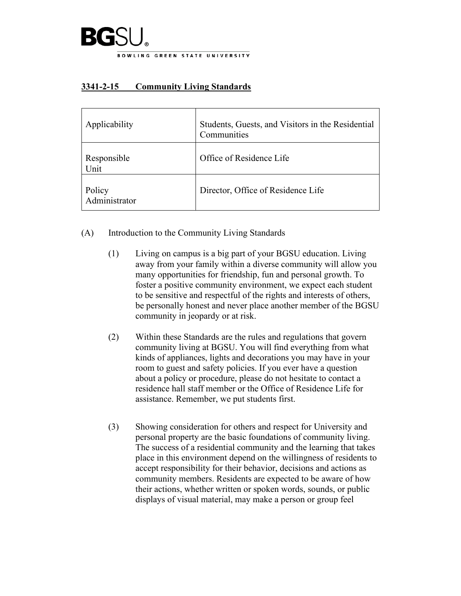

# **3341-2-15 Community Living Standards**

| Applicability           | Students, Guests, and Visitors in the Residential<br>Communities |
|-------------------------|------------------------------------------------------------------|
| Responsible<br>Unit     | Office of Residence Life                                         |
| Policy<br>Administrator | Director, Office of Residence Life                               |

- (A) Introduction to the Community Living Standards
	- (1) Living on campus is a big part of your BGSU education. Living away from your family within a diverse community will allow you many opportunities for friendship, fun and personal growth. To foster a positive community environment, we expect each student to be sensitive and respectful of the rights and interests of others, be personally honest and never place another member of the BGSU community in jeopardy or at risk.
	- (2) Within these Standards are the rules and regulations that govern community living at BGSU. You will find everything from what kinds of appliances, lights and decorations you may have in your room to guest and safety policies. If you ever have a question about a policy or procedure, please do not hesitate to contact a residence hall staff member or the Office of Residence Life for assistance. Remember, we put students first.
	- (3) Showing consideration for others and respect for University and personal property are the basic foundations of community living. The success of a residential community and the learning that takes place in this environment depend on the willingness of residents to accept responsibility for their behavior, decisions and actions as community members. Residents are expected to be aware of how their actions, whether written or spoken words, sounds, or public displays of visual material, may make a person or group feel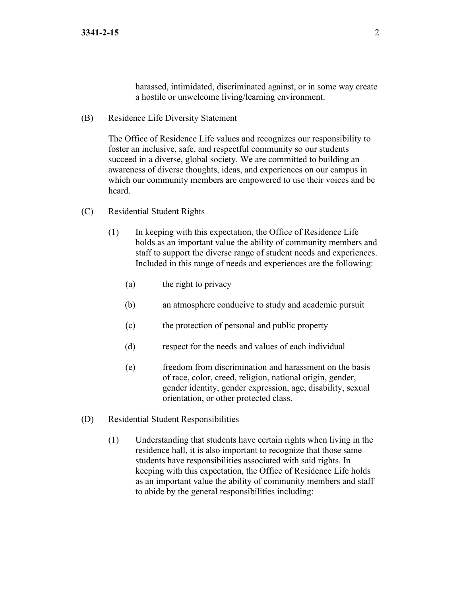harassed, intimidated, discriminated against, or in some way create a hostile or unwelcome living/learning environment.

(B) Residence Life Diversity Statement

The Office of Residence Life values and recognizes our responsibility to foster an inclusive, safe, and respectful community so our students succeed in a diverse, global society. We are committed to building an awareness of diverse thoughts, ideas, and experiences on our campus in which our community members are empowered to use their voices and be heard.

- (C) Residential Student Rights
	- (1) In keeping with this expectation, the Office of Residence Life holds as an important value the ability of community members and staff to support the diverse range of student needs and experiences. Included in this range of needs and experiences are the following:
		- (a) the right to privacy
		- (b) an atmosphere conducive to study and academic pursuit
		- (c) the protection of personal and public property
		- (d) respect for the needs and values of each individual
		- (e) freedom from discrimination and harassment on the basis of race, color, creed, religion, national origin, gender, gender identity, gender expression, age, disability, sexual orientation, or other protected class.
- (D) Residential Student Responsibilities
	- (1) Understanding that students have certain rights when living in the residence hall, it is also important to recognize that those same students have responsibilities associated with said rights. In keeping with this expectation, the Office of Residence Life holds as an important value the ability of community members and staff to abide by the general responsibilities including: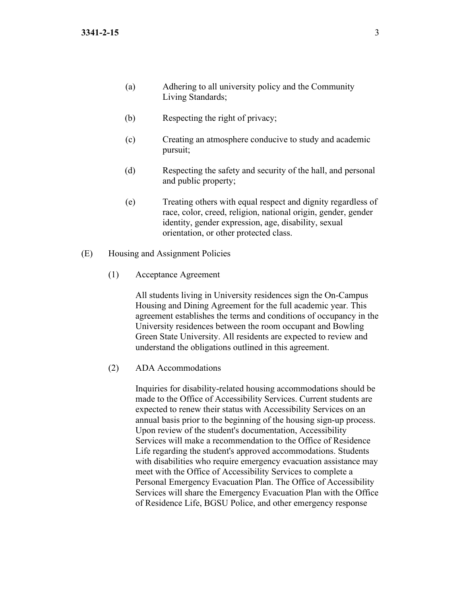- (a) Adhering to all university policy and the Community Living Standards;
- (b) Respecting the right of privacy;
- (c) Creating an atmosphere conducive to study and academic pursuit;
- (d) Respecting the safety and security of the hall, and personal and public property;
- (e) Treating others with equal respect and dignity regardless of race, color, creed, religion, national origin, gender, gender identity, gender expression, age, disability, sexual orientation, or other protected class.
- (E) Housing and Assignment Policies
	- (1) Acceptance Agreement

All students living in University residences sign the On-Campus Housing and Dining Agreement for the full academic year. This agreement establishes the terms and conditions of occupancy in the University residences between the room occupant and Bowling Green State University. All residents are expected to review and understand the obligations outlined in this agreement.

(2) ADA Accommodations

Inquiries for disability-related housing accommodations should be made to the Office of Accessibility Services. Current students are expected to renew their status with Accessibility Services on an annual basis prior to the beginning of the housing sign-up process. Upon review of the student's documentation, Accessibility Services will make a recommendation to the Office of Residence Life regarding the student's approved accommodations. Students with disabilities who require emergency evacuation assistance may meet with the Office of Accessibility Services to complete a Personal Emergency Evacuation Plan. The Office of Accessibility Services will share the Emergency Evacuation Plan with the Office of Residence Life, BGSU Police, and other emergency response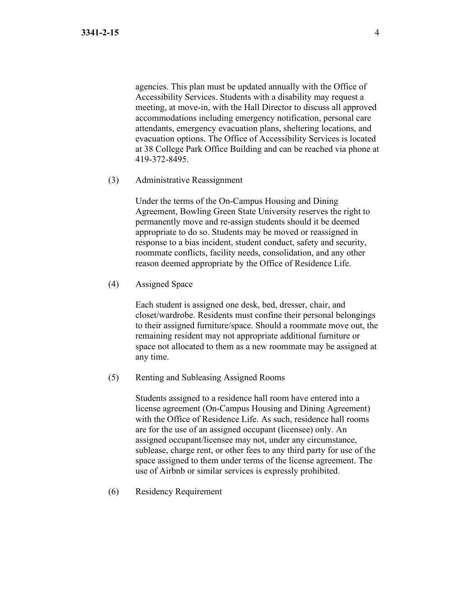agencies. This plan must be updated annually with the Office of Accessibility Services. Students with a disability may request a meeting, at move-in, with the Hall Director to discuss all approved accommodations including emergency notification, personal care attendants, emergency evacuation plans, sheltering locations, and evacuation options. The Office of Accessibility Services is located at 38 College Park Office Building and can be reached via phone at 419-372-8495.

(3) Administrative Reassignment

Under the terms of the On-Campus Housing and Dining Agreement, Bowling Green State University reserves the right to permanently move and re-assign students should it be deemed appropriate to do so. Students may be moved or reassigned in response to a bias incident, student conduct, safety and security, roommate conflicts, facility needs, consolidation, and any other reason deemed appropriate by the Office of Residence Life.

(4) Assigned Space

Each student is assigned one desk, bed, dresser, chair, and closet/wardrobe. Residents must confine their personal belongings to their assigned furniture/space. Should a roommate move out, the remaining resident may not appropriate additional furniture or space not allocated to them as a new roommate may be assigned at any time.

(5) Renting and Subleasing Assigned Rooms

Students assigned to a residence hall room have entered into a license agreement (On-Campus Housing and Dining Agreement) with the Office of Residence Life. As such, residence hall rooms are for the use of an assigned occupant (licensee) only. An assigned occupant/licensee may not, under any circumstance, sublease, charge rent, or other fees to any third party for use of the space assigned to them under terms of the license agreement. The use of Airbnb or similar services is expressly prohibited.

(6) Residency Requirement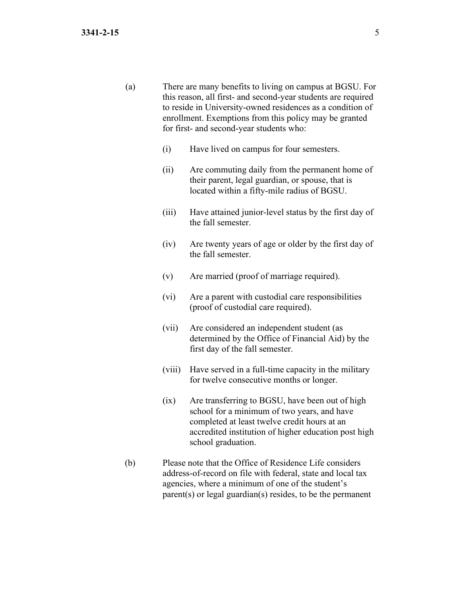- (a) There are many benefits to living on campus at BGSU. For this reason, all first- and second-year students are required to reside in University-owned residences as a condition of enrollment. Exemptions from this policy may be granted for first- and second-year students who:
	- (i) Have lived on campus for four semesters.
	- (ii) Are commuting daily from the permanent home of their parent, legal guardian, or spouse, that is located within a fifty-mile radius of BGSU.
	- (iii) Have attained junior-level status by the first day of the fall semester.
	- (iv) Are twenty years of age or older by the first day of the fall semester.
	- (v) Are married (proof of marriage required).
	- (vi) Are a parent with custodial care responsibilities (proof of custodial care required).
	- (vii) Are considered an independent student (as determined by the Office of Financial Aid) by the first day of the fall semester.
	- (viii) Have served in a full-time capacity in the military for twelve consecutive months or longer.
	- (ix) Are transferring to BGSU, have been out of high school for a minimum of two years, and have completed at least twelve credit hours at an accredited institution of higher education post high school graduation.
- (b) Please note that the Office of Residence Life considers address-of-record on file with federal, state and local tax agencies, where a minimum of one of the student's parent(s) or legal guardian(s) resides, to be the permanent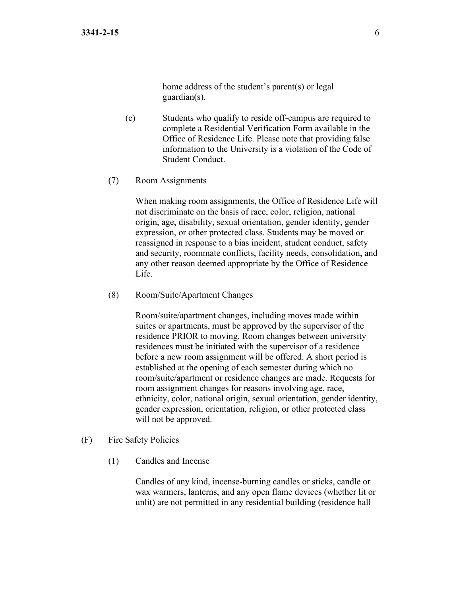home address of the student's parent(s) or legal guardian(s).

- (c) Students who qualify to reside off-campus are required to complete a Residential Verification Form available in the Office of Residence Life. Please note that providing false information to the University is a violation of the Code of Student Conduct.
- (7) Room Assignments

When making room assignments, the Office of Residence Life will not discriminate on the basis of race, color, religion, national origin, age, disability, sexual orientation, gender identity, gender expression, or other protected class. Students may be moved or reassigned in response to a bias incident, student conduct, safety and security, roommate conflicts, facility needs, consolidation, and any other reason deemed appropriate by the Office of Residence Life.

(8) Room/Suite/Apartment Changes

Room/suite/apartment changes, including moves made within suites or apartments, must be approved by the supervisor of the residence PRIOR to moving. Room changes between university residences must be initiated with the supervisor of a residence before a new room assignment will be offered. A short period is established at the opening of each semester during which no room/suite/apartment or residence changes are made. Requests for room assignment changes for reasons involving age, race, ethnicity, color, national origin, sexual orientation, gender identity, gender expression, orientation, religion, or other protected class will not be approved.

- (F) Fire Safety Policies
	- (1) Candles and Incense

Candles of any kind, incense-burning candles or sticks, candle or wax warmers, lanterns, and any open flame devices (whether lit or unlit) are not permitted in any residential building (residence hall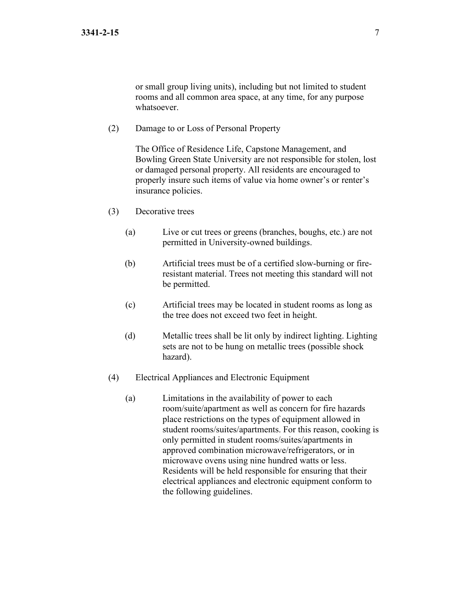or small group living units), including but not limited to student rooms and all common area space, at any time, for any purpose whatsoever.

(2) Damage to or Loss of Personal Property

The Office of Residence Life, Capstone Management, and Bowling Green State University are not responsible for stolen, lost or damaged personal property. All residents are encouraged to properly insure such items of value via home owner's or renter's insurance policies.

- (3) Decorative trees
	- (a) Live or cut trees or greens (branches, boughs, etc.) are not permitted in University-owned buildings.
	- (b) Artificial trees must be of a certified slow-burning or fireresistant material. Trees not meeting this standard will not be permitted.
	- (c) Artificial trees may be located in student rooms as long as the tree does not exceed two feet in height.
	- (d) Metallic trees shall be lit only by indirect lighting. Lighting sets are not to be hung on metallic trees (possible shock hazard).
- (4) Electrical Appliances and Electronic Equipment
	- (a) Limitations in the availability of power to each room/suite/apartment as well as concern for fire hazards place restrictions on the types of equipment allowed in student rooms/suites/apartments. For this reason, cooking is only permitted in student rooms/suites/apartments in approved combination microwave/refrigerators, or in microwave ovens using nine hundred watts or less. Residents will be held responsible for ensuring that their electrical appliances and electronic equipment conform to the following guidelines.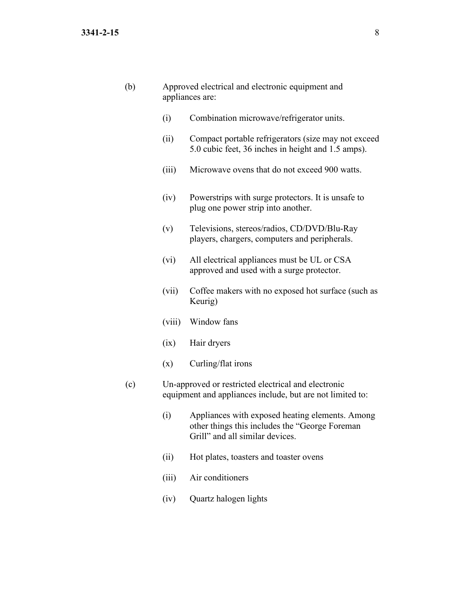| (b) |        | Approved electrical and electronic equipment and<br>appliances are:                                                                  |
|-----|--------|--------------------------------------------------------------------------------------------------------------------------------------|
|     | (i)    | Combination microwave/refrigerator units.                                                                                            |
|     | (ii)   | Compact portable refrigerators (size may not exceed<br>5.0 cubic feet, 36 inches in height and 1.5 amps).                            |
|     | (iii)  | Microwave ovens that do not exceed 900 watts.                                                                                        |
|     | (iv)   | Powerstrips with surge protectors. It is unsafe to<br>plug one power strip into another.                                             |
|     | (v)    | Televisions, stereos/radios, CD/DVD/Blu-Ray<br>players, chargers, computers and peripherals.                                         |
|     | (vi)   | All electrical appliances must be UL or CSA<br>approved and used with a surge protector.                                             |
|     | (vii)  | Coffee makers with no exposed hot surface (such as<br>Keurig)                                                                        |
|     | (viii) | Window fans                                                                                                                          |
|     | (ix)   | Hair dryers                                                                                                                          |
|     | (x)    | Curling/flat irons                                                                                                                   |
| (c) |        | Un-approved or restricted electrical and electronic<br>equipment and appliances include, but are not limited to:                     |
|     | (i)    | Appliances with exposed heating elements. Among<br>other things this includes the "George Foreman<br>Grill" and all similar devices. |
|     | (ii)   | Hot plates, toasters and toaster ovens                                                                                               |
|     | (iii)  | Air conditioners                                                                                                                     |

(iv) Quartz halogen lights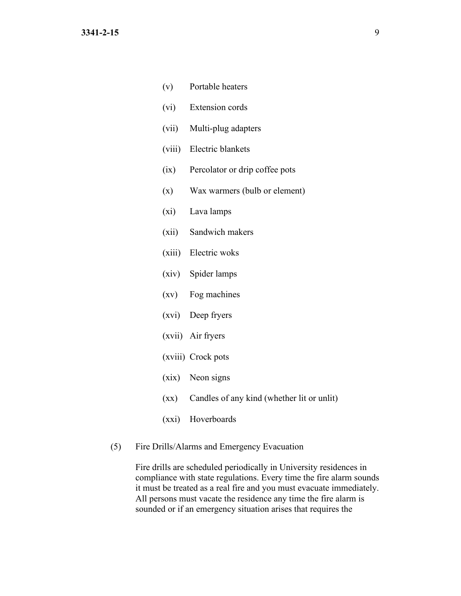| (v)     | Portable heaters                                |
|---------|-------------------------------------------------|
| (vi)    | Extension cords                                 |
|         | (vii) Multi-plug adapters                       |
|         | (viii) Electric blankets                        |
| (ix)    | Percolator or drip coffee pots                  |
| (x)     | Wax warmers (bulb or element)                   |
| $(x_i)$ | Lava lamps                                      |
|         | (xii) Sandwich makers                           |
|         | (xiii) Electric woks                            |
|         | (xiv) Spider lamps                              |
|         | (xv) Fog machines                               |
|         | (xvi) Deep fryers                               |
|         | (xvii) Air fryers                               |
|         | (xviii) Crock pots                              |
|         | (xix) Neon signs                                |
|         | (xx) Candles of any kind (whether lit or unlit) |
| (xxi)   | Hoverboards                                     |

(5) Fire Drills/Alarms and Emergency Evacuation

Fire drills are scheduled periodically in University residences in compliance with state regulations. Every time the fire alarm sounds it must be treated as a real fire and you must evacuate immediately. All persons must vacate the residence any time the fire alarm is sounded or if an emergency situation arises that requires the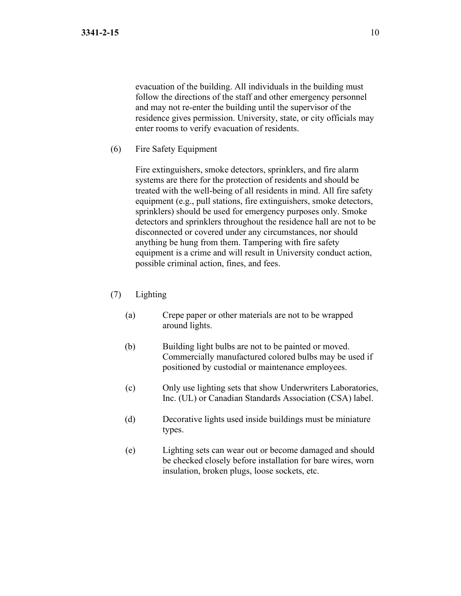evacuation of the building. All individuals in the building must follow the directions of the staff and other emergency personnel and may not re-enter the building until the supervisor of the residence gives permission. University, state, or city officials may enter rooms to verify evacuation of residents.

(6) Fire Safety Equipment

Fire extinguishers, smoke detectors, sprinklers, and fire alarm systems are there for the protection of residents and should be treated with the well-being of all residents in mind. All fire safety equipment (e.g., pull stations, fire extinguishers, smoke detectors, sprinklers) should be used for emergency purposes only. Smoke detectors and sprinklers throughout the residence hall are not to be disconnected or covered under any circumstances, nor should anything be hung from them. Tampering with fire safety equipment is a crime and will result in University conduct action, possible criminal action, fines, and fees.

- (7) Lighting
	- (a) Crepe paper or other materials are not to be wrapped around lights.
	- (b) Building light bulbs are not to be painted or moved. Commercially manufactured colored bulbs may be used if positioned by custodial or maintenance employees.
	- (c) Only use lighting sets that show Underwriters Laboratories, Inc. (UL) or Canadian Standards Association (CSA) label.
	- (d) Decorative lights used inside buildings must be miniature types.
	- (e) Lighting sets can wear out or become damaged and should be checked closely before installation for bare wires, worn insulation, broken plugs, loose sockets, etc.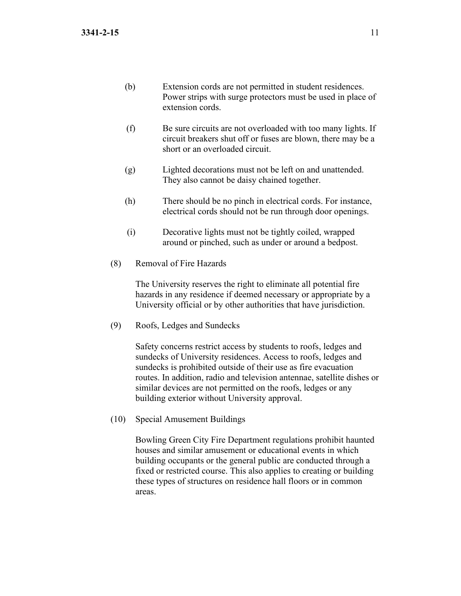- (b) Extension cords are not permitted in student residences. Power strips with surge protectors must be used in place of extension cords.
- (f) Be sure circuits are not overloaded with too many lights. If circuit breakers shut off or fuses are blown, there may be a short or an overloaded circuit.
- (g) Lighted decorations must not be left on and unattended. They also cannot be daisy chained together.
- (h) There should be no pinch in electrical cords. For instance, electrical cords should not be run through door openings.
- (i) Decorative lights must not be tightly coiled, wrapped around or pinched, such as under or around a bedpost.
- (8) Removal of Fire Hazards

The University reserves the right to eliminate all potential fire hazards in any residence if deemed necessary or appropriate by a University official or by other authorities that have jurisdiction.

(9) Roofs, Ledges and Sundecks

Safety concerns restrict access by students to roofs, ledges and sundecks of University residences. Access to roofs, ledges and sundecks is prohibited outside of their use as fire evacuation routes. In addition, radio and television antennae, satellite dishes or similar devices are not permitted on the roofs, ledges or any building exterior without University approval.

(10) Special Amusement Buildings

Bowling Green City Fire Department regulations prohibit haunted houses and similar amusement or educational events in which building occupants or the general public are conducted through a fixed or restricted course. This also applies to creating or building these types of structures on residence hall floors or in common areas.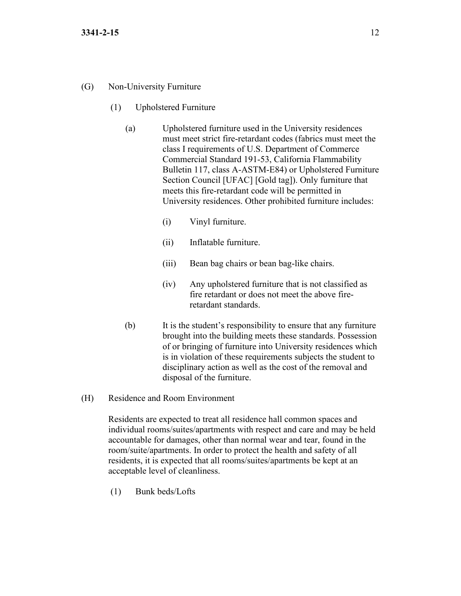## (G) Non-University Furniture

- (1) Upholstered Furniture
	- (a) Upholstered furniture used in the University residences must meet strict fire-retardant codes (fabrics must meet the class I requirements of U.S. Department of Commerce Commercial Standard 191-53, California Flammability Bulletin 117, class A-ASTM-E84) or Upholstered Furniture Section Council [UFAC] [Gold tag]). Only furniture that meets this fire-retardant code will be permitted in University residences. Other prohibited furniture includes:
		- (i) Vinyl furniture.
		- (ii) Inflatable furniture.
		- (iii) Bean bag chairs or bean bag-like chairs.
		- (iv) Any upholstered furniture that is not classified as fire retardant or does not meet the above fireretardant standards.
	- (b) It is the student's responsibility to ensure that any furniture brought into the building meets these standards. Possession of or bringing of furniture into University residences which is in violation of these requirements subjects the student to disciplinary action as well as the cost of the removal and disposal of the furniture.
- (H) Residence and Room Environment

Residents are expected to treat all residence hall common spaces and individual rooms/suites/apartments with respect and care and may be held accountable for damages, other than normal wear and tear, found in the room/suite/apartments. In order to protect the health and safety of all residents, it is expected that all rooms/suites/apartments be kept at an acceptable level of cleanliness.

(1) Bunk beds/Lofts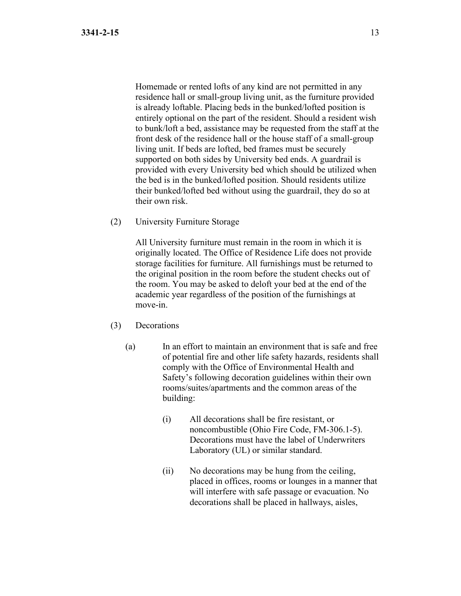Homemade or rented lofts of any kind are not permitted in any residence hall or small-group living unit, as the furniture provided is already loftable. Placing beds in the bunked/lofted position is entirely optional on the part of the resident. Should a resident wish to bunk/loft a bed, assistance may be requested from the staff at the front desk of the residence hall or the house staff of a small-group living unit. If beds are lofted, bed frames must be securely supported on both sides by University bed ends. A guardrail is provided with every University bed which should be utilized when the bed is in the bunked/lofted position. Should residents utilize their bunked/lofted bed without using the guardrail, they do so at their own risk.

(2) University Furniture Storage

All University furniture must remain in the room in which it is originally located. The Office of Residence Life does not provide storage facilities for furniture. All furnishings must be returned to the original position in the room before the student checks out of the room. You may be asked to deloft your bed at the end of the academic year regardless of the position of the furnishings at move-in.

- (3) Decorations
	- (a) In an effort to maintain an environment that is safe and free of potential fire and other life safety hazards, residents shall comply with the Office of Environmental Health and Safety's following decoration guidelines within their own rooms/suites/apartments and the common areas of the building:
		- (i) All decorations shall be fire resistant, or noncombustible (Ohio Fire Code, FM-306.1-5). Decorations must have the label of Underwriters Laboratory (UL) or similar standard.
		- (ii) No decorations may be hung from the ceiling, placed in offices, rooms or lounges in a manner that will interfere with safe passage or evacuation. No decorations shall be placed in hallways, aisles,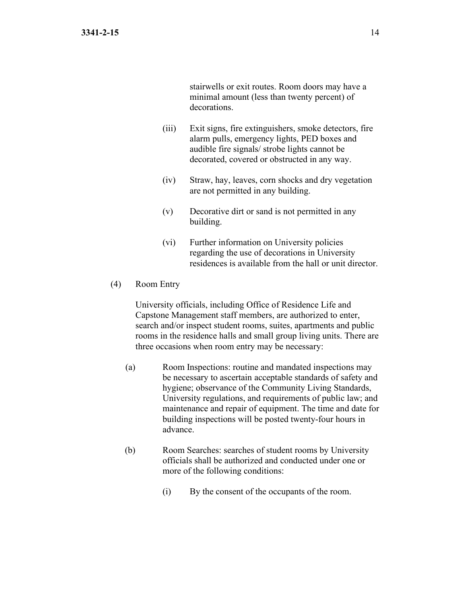stairwells or exit routes. Room doors may have a minimal amount (less than twenty percent) of decorations.

- (iii) Exit signs, fire extinguishers, smoke detectors, fire alarm pulls, emergency lights, PED boxes and audible fire signals/ strobe lights cannot be decorated, covered or obstructed in any way.
- (iv) Straw, hay, leaves, corn shocks and dry vegetation are not permitted in any building.
- (v) Decorative dirt or sand is not permitted in any building.
- (vi) Further information on University policies regarding the use of decorations in University residences is available from the hall or unit director.

### (4) Room Entry

University officials, including Office of Residence Life and Capstone Management staff members, are authorized to enter, search and/or inspect student rooms, suites, apartments and public rooms in the residence halls and small group living units. There are three occasions when room entry may be necessary:

- (a) Room Inspections: routine and mandated inspections may be necessary to ascertain acceptable standards of safety and hygiene; observance of the Community Living Standards, University regulations, and requirements of public law; and maintenance and repair of equipment. The time and date for building inspections will be posted twenty-four hours in advance.
- (b) Room Searches: searches of student rooms by University officials shall be authorized and conducted under one or more of the following conditions:
	- (i) By the consent of the occupants of the room.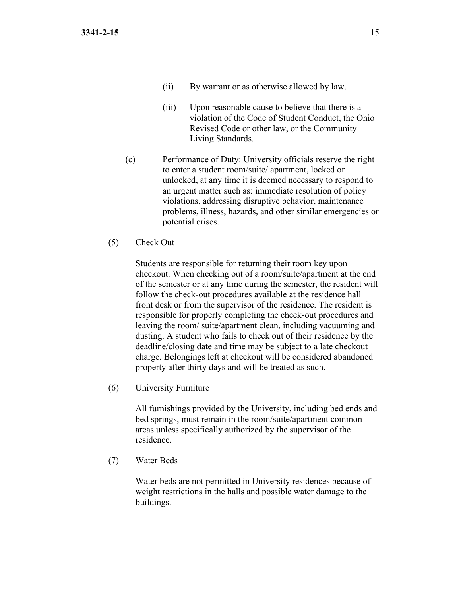- (ii) By warrant or as otherwise allowed by law.
- (iii) Upon reasonable cause to believe that there is a violation of the Code of Student Conduct, the Ohio Revised Code or other law, or the Community Living Standards.
- (c) Performance of Duty: University officials reserve the right to enter a student room/suite/ apartment, locked or unlocked, at any time it is deemed necessary to respond to an urgent matter such as: immediate resolution of policy violations, addressing disruptive behavior, maintenance problems, illness, hazards, and other similar emergencies or potential crises.
- (5) Check Out

Students are responsible for returning their room key upon checkout. When checking out of a room/suite/apartment at the end of the semester or at any time during the semester, the resident will follow the check-out procedures available at the residence hall front desk or from the supervisor of the residence. The resident is responsible for properly completing the check-out procedures and leaving the room/ suite/apartment clean, including vacuuming and dusting. A student who fails to check out of their residence by the deadline/closing date and time may be subject to a late checkout charge. Belongings left at checkout will be considered abandoned property after thirty days and will be treated as such.

(6) University Furniture

All furnishings provided by the University, including bed ends and bed springs, must remain in the room/suite/apartment common areas unless specifically authorized by the supervisor of the residence.

(7) Water Beds

Water beds are not permitted in University residences because of weight restrictions in the halls and possible water damage to the buildings.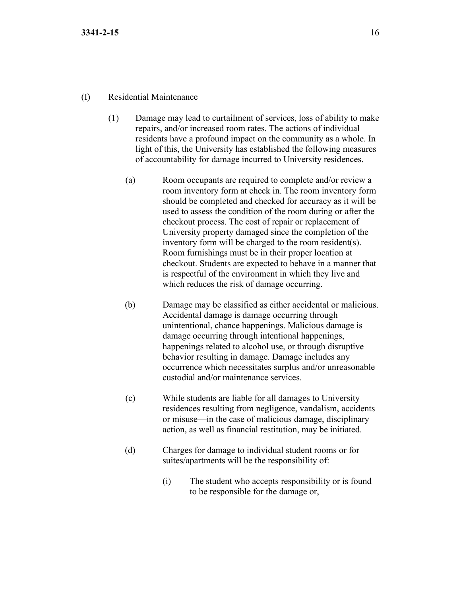### (I) Residential Maintenance

- (1) Damage may lead to curtailment of services, loss of ability to make repairs, and/or increased room rates. The actions of individual residents have a profound impact on the community as a whole. In light of this, the University has established the following measures of accountability for damage incurred to University residences.
	- (a) Room occupants are required to complete and/or review a room inventory form at check in. The room inventory form should be completed and checked for accuracy as it will be used to assess the condition of the room during or after the checkout process. The cost of repair or replacement of University property damaged since the completion of the inventory form will be charged to the room resident(s). Room furnishings must be in their proper location at checkout. Students are expected to behave in a manner that is respectful of the environment in which they live and which reduces the risk of damage occurring.
	- (b) Damage may be classified as either accidental or malicious. Accidental damage is damage occurring through unintentional, chance happenings. Malicious damage is damage occurring through intentional happenings, happenings related to alcohol use, or through disruptive behavior resulting in damage. Damage includes any occurrence which necessitates surplus and/or unreasonable custodial and/or maintenance services.
	- (c) While students are liable for all damages to University residences resulting from negligence, vandalism, accidents or misuse—in the case of malicious damage, disciplinary action, as well as financial restitution, may be initiated.
	- (d) Charges for damage to individual student rooms or for suites/apartments will be the responsibility of:
		- (i) The student who accepts responsibility or is found to be responsible for the damage or,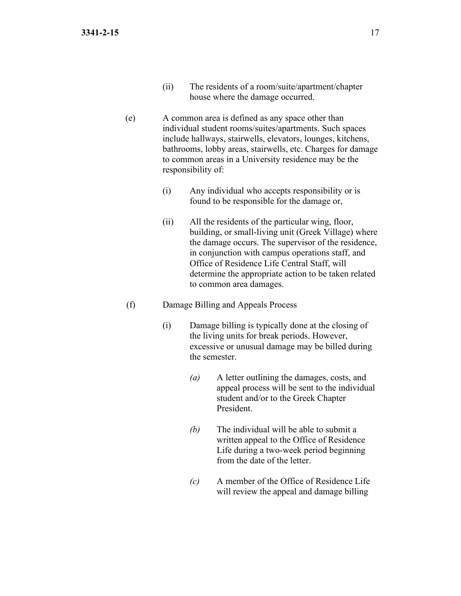- (ii) The residents of a room/suite/apartment/chapter house where the damage occurred.
- (e) A common area is defined as any space other than individual student rooms/suites/apartments. Such spaces include hallways, stairwells, elevators, lounges, kitchens, bathrooms, lobby areas, stairwells, etc. Charges for damage to common areas in a University residence may be the responsibility of:
	- (i) Any individual who accepts responsibility or is found to be responsible for the damage or,
	- (ii) All the residents of the particular wing, floor, building, or small-living unit (Greek Village) where the damage occurs. The supervisor of the residence, in conjunction with campus operations staff, and Office of Residence Life Central Staff, will determine the appropriate action to be taken related to common area damages.

#### (f) Damage Billing and Appeals Process

- (i) Damage billing is typically done at the closing of the living units for break periods. However, excessive or unusual damage may be billed during the semester.
	- *(a)* A letter outlining the damages, costs, and appeal process will be sent to the individual student and/or to the Greek Chapter President.
	- *(b)* The individual will be able to submit a written appeal to the Office of Residence Life during a two-week period beginning from the date of the letter.
	- *(c)* A member of the Office of Residence Life will review the appeal and damage billing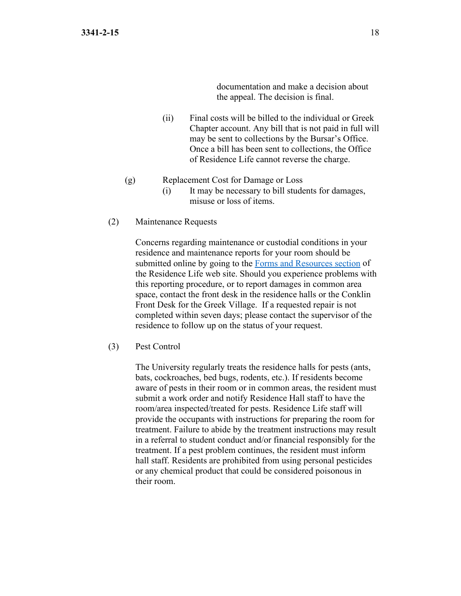documentation and make a decision about the appeal. The decision is final.

- (ii) Final costs will be billed to the individual or Greek Chapter account. Any bill that is not paid in full will may be sent to collections by the Bursar's Office. Once a bill has been sent to collections, the Office of Residence Life cannot reverse the charge.
- (g) Replacement Cost for Damage or Loss
	- (i) It may be necessary to bill students for damages, misuse or loss of items.
- (2) Maintenance Requests

Concerns regarding maintenance or custodial conditions in your residence and maintenance reports for your room should be submitted online by going to the [Forms and Resources section](https://www.bgsu.edu/residence-life/forms-and-resources.html) of the Residence Life web site. Should you experience problems with this reporting procedure, or to report damages in common area space, contact the front desk in the residence halls or the Conklin Front Desk for the Greek Village. If a requested repair is not completed within seven days; please contact the supervisor of the residence to follow up on the status of your request.

(3) Pest Control

The University regularly treats the residence halls for pests (ants, bats, cockroaches, bed bugs, rodents, etc.). If residents become aware of pests in their room or in common areas, the resident must submit a work order and notify Residence Hall staff to have the room/area inspected/treated for pests. Residence Life staff will provide the occupants with instructions for preparing the room for treatment. Failure to abide by the treatment instructions may result in a referral to student conduct and/or financial responsibly for the treatment. If a pest problem continues, the resident must inform hall staff. Residents are prohibited from using personal pesticides or any chemical product that could be considered poisonous in their room.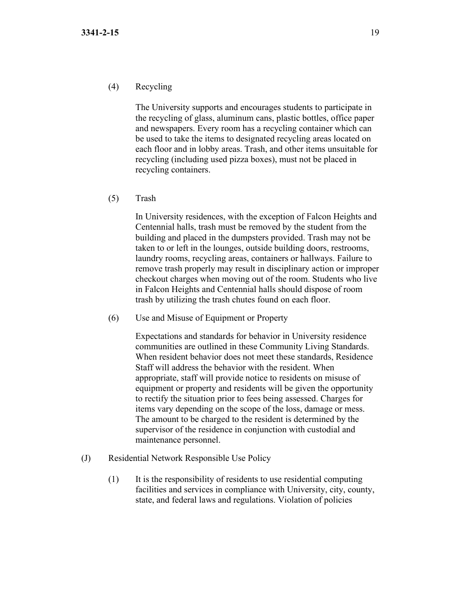The University supports and encourages students to participate in the recycling of glass, aluminum cans, plastic bottles, office paper and newspapers. Every room has a recycling container which can be used to take the items to designated recycling areas located on each floor and in lobby areas. Trash, and other items unsuitable for recycling (including used pizza boxes), must not be placed in recycling containers.

(5) Trash

In University residences, with the exception of Falcon Heights and Centennial halls, trash must be removed by the student from the building and placed in the dumpsters provided. Trash may not be taken to or left in the lounges, outside building doors, restrooms, laundry rooms, recycling areas, containers or hallways. Failure to remove trash properly may result in disciplinary action or improper checkout charges when moving out of the room. Students who live in Falcon Heights and Centennial halls should dispose of room trash by utilizing the trash chutes found on each floor.

(6) Use and Misuse of Equipment or Property

Expectations and standards for behavior in University residence communities are outlined in these Community Living Standards. When resident behavior does not meet these standards, Residence Staff will address the behavior with the resident. When appropriate, staff will provide notice to residents on misuse of equipment or property and residents will be given the opportunity to rectify the situation prior to fees being assessed. Charges for items vary depending on the scope of the loss, damage or mess. The amount to be charged to the resident is determined by the supervisor of the residence in conjunction with custodial and maintenance personnel.

- (J) Residential Network Responsible Use Policy
	- (1) It is the responsibility of residents to use residential computing facilities and services in compliance with University, city, county, state, and federal laws and regulations. Violation of policies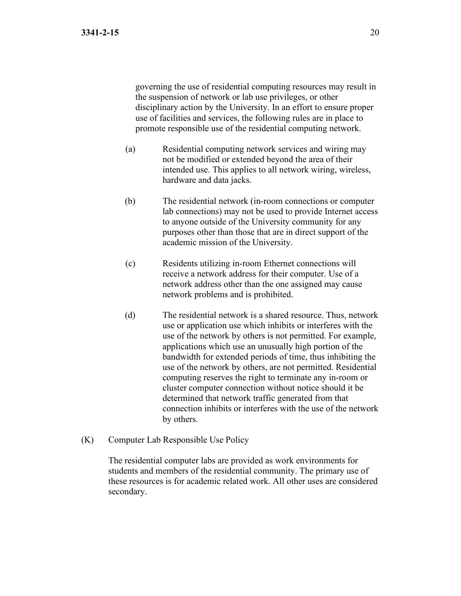governing the use of residential computing resources may result in the suspension of network or lab use privileges, or other disciplinary action by the University. In an effort to ensure proper use of facilities and services, the following rules are in place to promote responsible use of the residential computing network.

- (a) Residential computing network services and wiring may not be modified or extended beyond the area of their intended use. This applies to all network wiring, wireless, hardware and data jacks.
- (b) The residential network (in-room connections or computer lab connections) may not be used to provide Internet access to anyone outside of the University community for any purposes other than those that are in direct support of the academic mission of the University.
- (c) Residents utilizing in-room Ethernet connections will receive a network address for their computer. Use of a network address other than the one assigned may cause network problems and is prohibited.
- (d) The residential network is a shared resource. Thus, network use or application use which inhibits or interferes with the use of the network by others is not permitted. For example, applications which use an unusually high portion of the bandwidth for extended periods of time, thus inhibiting the use of the network by others, are not permitted. Residential computing reserves the right to terminate any in-room or cluster computer connection without notice should it be determined that network traffic generated from that connection inhibits or interferes with the use of the network by others.
- (K) Computer Lab Responsible Use Policy

The residential computer labs are provided as work environments for students and members of the residential community. The primary use of these resources is for academic related work. All other uses are considered secondary.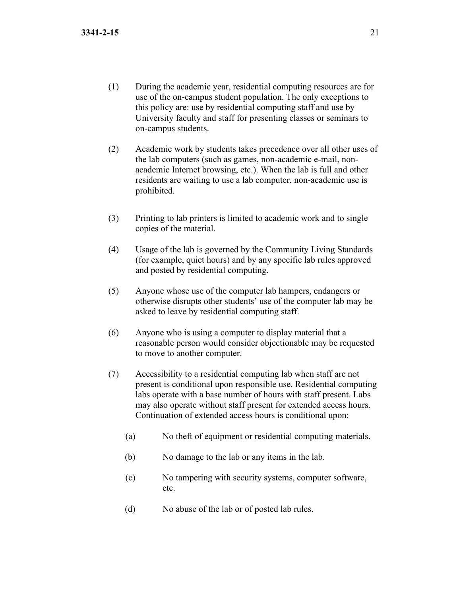- (1) During the academic year, residential computing resources are for use of the on-campus student population. The only exceptions to this policy are: use by residential computing staff and use by University faculty and staff for presenting classes or seminars to on-campus students.
- (2) Academic work by students takes precedence over all other uses of the lab computers (such as games, non-academic e-mail, nonacademic Internet browsing, etc.). When the lab is full and other residents are waiting to use a lab computer, non-academic use is prohibited.
- (3) Printing to lab printers is limited to academic work and to single copies of the material.
- (4) Usage of the lab is governed by the Community Living Standards (for example, quiet hours) and by any specific lab rules approved and posted by residential computing.
- (5) Anyone whose use of the computer lab hampers, endangers or otherwise disrupts other students' use of the computer lab may be asked to leave by residential computing staff.
- (6) Anyone who is using a computer to display material that a reasonable person would consider objectionable may be requested to move to another computer.
- (7) Accessibility to a residential computing lab when staff are not present is conditional upon responsible use. Residential computing labs operate with a base number of hours with staff present. Labs may also operate without staff present for extended access hours. Continuation of extended access hours is conditional upon:
	- (a) No theft of equipment or residential computing materials.
	- (b) No damage to the lab or any items in the lab.
	- (c) No tampering with security systems, computer software, etc.
	- (d) No abuse of the lab or of posted lab rules.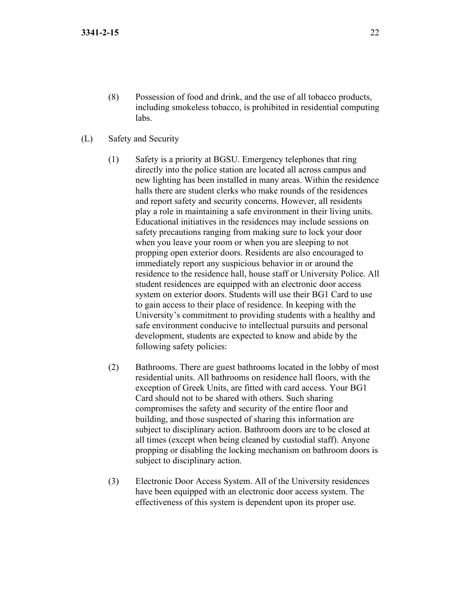- (8) Possession of food and drink, and the use of all tobacco products, including smokeless tobacco, is prohibited in residential computing labs.
- (L) Safety and Security
	- (1) Safety is a priority at BGSU. Emergency telephones that ring directly into the police station are located all across campus and new lighting has been installed in many areas. Within the residence halls there are student clerks who make rounds of the residences and report safety and security concerns. However, all residents play a role in maintaining a safe environment in their living units. Educational initiatives in the residences may include sessions on safety precautions ranging from making sure to lock your door when you leave your room or when you are sleeping to not propping open exterior doors. Residents are also encouraged to immediately report any suspicious behavior in or around the residence to the residence hall, house staff or University Police. All student residences are equipped with an electronic door access system on exterior doors. Students will use their BG1 Card to use to gain access to their place of residence. In keeping with the University's commitment to providing students with a healthy and safe environment conducive to intellectual pursuits and personal development, students are expected to know and abide by the following safety policies:
	- (2) Bathrooms. There are guest bathrooms located in the lobby of most residential units. All bathrooms on residence hall floors, with the exception of Greek Units, are fitted with card access. Your BG1 Card should not to be shared with others. Such sharing compromises the safety and security of the entire floor and building, and those suspected of sharing this information are subject to disciplinary action. Bathroom doors are to be closed at all times (except when being cleaned by custodial staff). Anyone propping or disabling the locking mechanism on bathroom doors is subject to disciplinary action.
	- (3) Electronic Door Access System. All of the University residences have been equipped with an electronic door access system. The effectiveness of this system is dependent upon its proper use.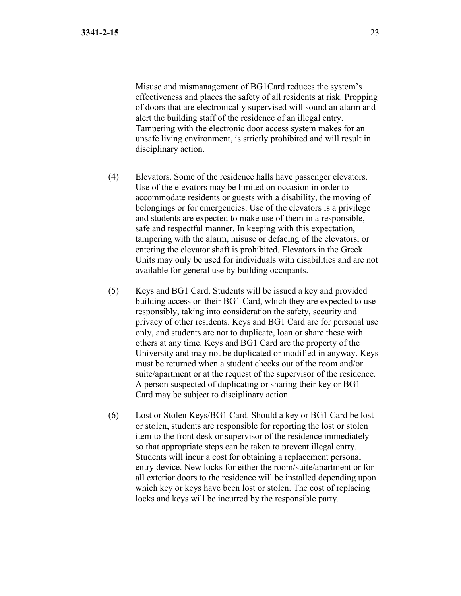Misuse and mismanagement of BG1Card reduces the system's effectiveness and places the safety of all residents at risk. Propping of doors that are electronically supervised will sound an alarm and alert the building staff of the residence of an illegal entry. Tampering with the electronic door access system makes for an unsafe living environment, is strictly prohibited and will result in disciplinary action.

- (4) Elevators. Some of the residence halls have passenger elevators. Use of the elevators may be limited on occasion in order to accommodate residents or guests with a disability, the moving of belongings or for emergencies. Use of the elevators is a privilege and students are expected to make use of them in a responsible, safe and respectful manner. In keeping with this expectation, tampering with the alarm, misuse or defacing of the elevators, or entering the elevator shaft is prohibited. Elevators in the Greek Units may only be used for individuals with disabilities and are not available for general use by building occupants.
- (5) Keys and BG1 Card. Students will be issued a key and provided building access on their BG1 Card, which they are expected to use responsibly, taking into consideration the safety, security and privacy of other residents. Keys and BG1 Card are for personal use only, and students are not to duplicate, loan or share these with others at any time. Keys and BG1 Card are the property of the University and may not be duplicated or modified in anyway. Keys must be returned when a student checks out of the room and/or suite/apartment or at the request of the supervisor of the residence. A person suspected of duplicating or sharing their key or BG1 Card may be subject to disciplinary action.
- (6) Lost or Stolen Keys/BG1 Card. Should a key or BG1 Card be lost or stolen, students are responsible for reporting the lost or stolen item to the front desk or supervisor of the residence immediately so that appropriate steps can be taken to prevent illegal entry. Students will incur a cost for obtaining a replacement personal entry device. New locks for either the room/suite/apartment or for all exterior doors to the residence will be installed depending upon which key or keys have been lost or stolen. The cost of replacing locks and keys will be incurred by the responsible party.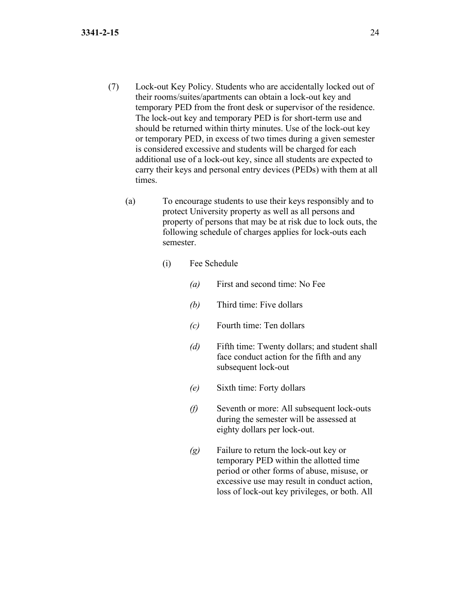- (7) Lock-out Key Policy. Students who are accidentally locked out of their rooms/suites/apartments can obtain a lock-out key and temporary PED from the front desk or supervisor of the residence. The lock-out key and temporary PED is for short-term use and should be returned within thirty minutes. Use of the lock-out key or temporary PED, in excess of two times during a given semester is considered excessive and students will be charged for each additional use of a lock-out key, since all students are expected to carry their keys and personal entry devices (PEDs) with them at all times.
	- (a) To encourage students to use their keys responsibly and to protect University property as well as all persons and property of persons that may be at risk due to lock outs, the following schedule of charges applies for lock-outs each semester.
		- (i) Fee Schedule
			- *(a)* First and second time: No Fee
			- *(b)* Third time: Five dollars
			- *(c)* Fourth time: Ten dollars
			- *(d)* Fifth time: Twenty dollars; and student shall face conduct action for the fifth and any subsequent lock-out
			- *(e)* Sixth time: Forty dollars
			- *(f)* Seventh or more: All subsequent lock-outs during the semester will be assessed at eighty dollars per lock-out.
			- *(g)* Failure to return the lock-out key or temporary PED within the allotted time period or other forms of abuse, misuse, or excessive use may result in conduct action, loss of lock-out key privileges, or both. All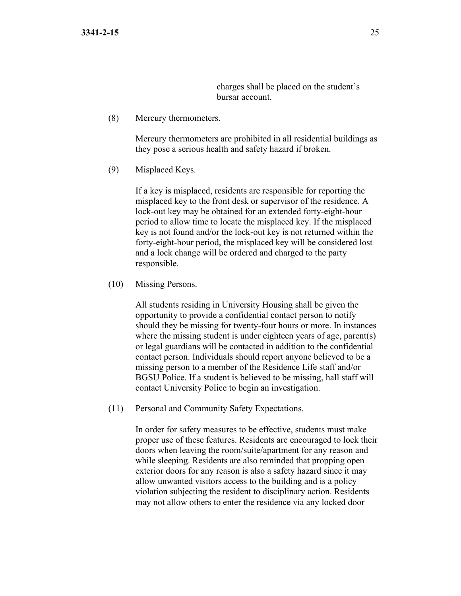charges shall be placed on the student's bursar account.

(8) Mercury thermometers.

Mercury thermometers are prohibited in all residential buildings as they pose a serious health and safety hazard if broken.

(9) Misplaced Keys.

If a key is misplaced, residents are responsible for reporting the misplaced key to the front desk or supervisor of the residence. A lock-out key may be obtained for an extended forty-eight-hour period to allow time to locate the misplaced key. If the misplaced key is not found and/or the lock-out key is not returned within the forty-eight-hour period, the misplaced key will be considered lost and a lock change will be ordered and charged to the party responsible.

(10) Missing Persons.

All students residing in University Housing shall be given the opportunity to provide a confidential contact person to notify should they be missing for twenty-four hours or more. In instances where the missing student is under eighteen years of age, parent(s) or legal guardians will be contacted in addition to the confidential contact person. Individuals should report anyone believed to be a missing person to a member of the Residence Life staff and/or BGSU Police. If a student is believed to be missing, hall staff will contact University Police to begin an investigation.

(11) Personal and Community Safety Expectations.

In order for safety measures to be effective, students must make proper use of these features. Residents are encouraged to lock their doors when leaving the room/suite/apartment for any reason and while sleeping. Residents are also reminded that propping open exterior doors for any reason is also a safety hazard since it may allow unwanted visitors access to the building and is a policy violation subjecting the resident to disciplinary action. Residents may not allow others to enter the residence via any locked door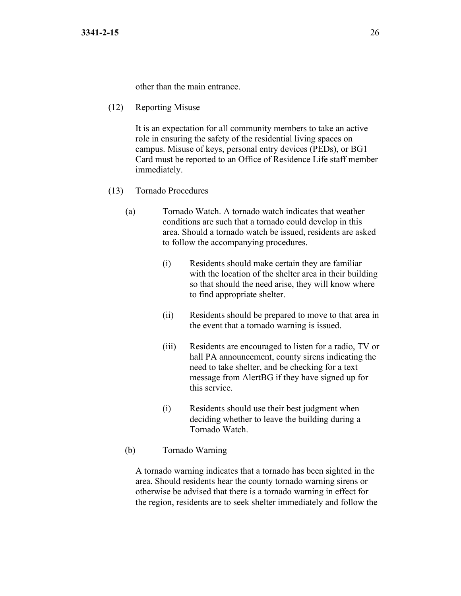other than the main entrance.

(12) Reporting Misuse

It is an expectation for all community members to take an active role in ensuring the safety of the residential living spaces on campus. Misuse of keys, personal entry devices (PEDs), or BG1 Card must be reported to an Office of Residence Life staff member immediately.

- (13) Tornado Procedures
	- (a) Tornado Watch. A tornado watch indicates that weather conditions are such that a tornado could develop in this area. Should a tornado watch be issued, residents are asked to follow the accompanying procedures.
		- (i) Residents should make certain they are familiar with the location of the shelter area in their building so that should the need arise, they will know where to find appropriate shelter.
		- (ii) Residents should be prepared to move to that area in the event that a tornado warning is issued.
		- (iii) Residents are encouraged to listen for a radio, TV or hall PA announcement, county sirens indicating the need to take shelter, and be checking for a text message from AlertBG if they have signed up for this service.
		- (i) Residents should use their best judgment when deciding whether to leave the building during a Tornado Watch.
	- (b) Tornado Warning

A tornado warning indicates that a tornado has been sighted in the area. Should residents hear the county tornado warning sirens or otherwise be advised that there is a tornado warning in effect for the region, residents are to seek shelter immediately and follow the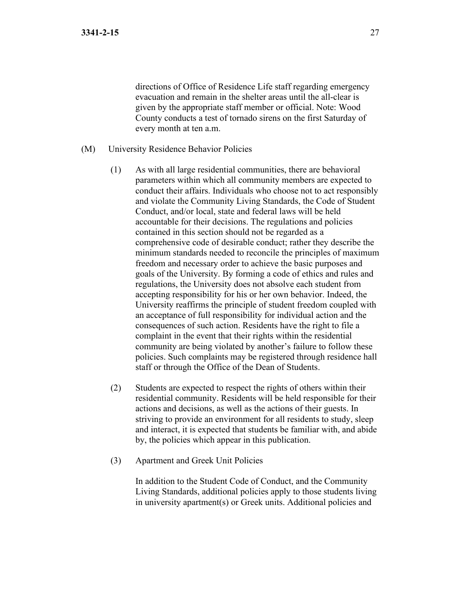directions of Office of Residence Life staff regarding emergency evacuation and remain in the shelter areas until the all-clear is given by the appropriate staff member or official. Note: Wood County conducts a test of tornado sirens on the first Saturday of every month at ten a.m.

- (M) University Residence Behavior Policies
	- (1) As with all large residential communities, there are behavioral parameters within which all community members are expected to conduct their affairs. Individuals who choose not to act responsibly and violate the Community Living Standards, the Code of Student Conduct, and/or local, state and federal laws will be held accountable for their decisions. The regulations and policies contained in this section should not be regarded as a comprehensive code of desirable conduct; rather they describe the minimum standards needed to reconcile the principles of maximum freedom and necessary order to achieve the basic purposes and goals of the University. By forming a code of ethics and rules and regulations, the University does not absolve each student from accepting responsibility for his or her own behavior. Indeed, the University reaffirms the principle of student freedom coupled with an acceptance of full responsibility for individual action and the consequences of such action. Residents have the right to file a complaint in the event that their rights within the residential community are being violated by another's failure to follow these policies. Such complaints may be registered through residence hall staff or through the Office of the Dean of Students.
	- (2) Students are expected to respect the rights of others within their residential community. Residents will be held responsible for their actions and decisions, as well as the actions of their guests. In striving to provide an environment for all residents to study, sleep and interact, it is expected that students be familiar with, and abide by, the policies which appear in this publication.
	- (3) Apartment and Greek Unit Policies

In addition to the Student Code of Conduct, and the Community Living Standards, additional policies apply to those students living in university apartment(s) or Greek units. Additional policies and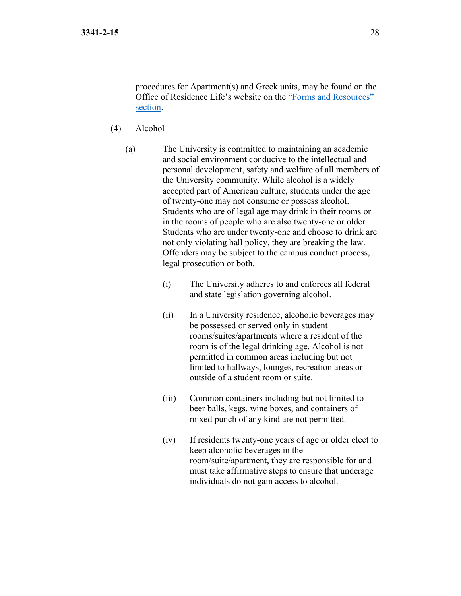procedures for Apartment(s) and Greek units, may be found on the Office of Residence Life's website on the ["Forms and Resources"](https://www.bgsu.edu/residence-life/forms-and-resources.html)  [section.](https://www.bgsu.edu/residence-life/forms-and-resources.html)

- (4) Alcohol
	- (a) The University is committed to maintaining an academic and social environment conducive to the intellectual and personal development, safety and welfare of all members of the University community. While alcohol is a widely accepted part of American culture, students under the age of twenty-one may not consume or possess alcohol. Students who are of legal age may drink in their rooms or in the rooms of people who are also twenty-one or older. Students who are under twenty-one and choose to drink are not only violating hall policy, they are breaking the law. Offenders may be subject to the campus conduct process, legal prosecution or both.
		- (i) The University adheres to and enforces all federal and state legislation governing alcohol.
		- (ii) In a University residence, alcoholic beverages may be possessed or served only in student rooms/suites/apartments where a resident of the room is of the legal drinking age. Alcohol is not permitted in common areas including but not limited to hallways, lounges, recreation areas or outside of a student room or suite.
		- (iii) Common containers including but not limited to beer balls, kegs, wine boxes, and containers of mixed punch of any kind are not permitted.
		- (iv) If residents twenty-one years of age or older elect to keep alcoholic beverages in the room/suite/apartment, they are responsible for and must take affirmative steps to ensure that underage individuals do not gain access to alcohol.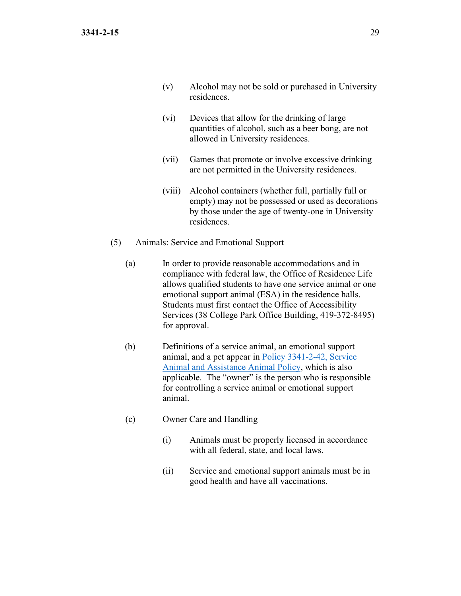- (v) Alcohol may not be sold or purchased in University residences.
- (vi) Devices that allow for the drinking of large quantities of alcohol, such as a beer bong, are not allowed in University residences.
- (vii) Games that promote or involve excessive drinking are not permitted in the University residences.
- (viii) Alcohol containers (whether full, partially full or empty) may not be possessed or used as decorations by those under the age of twenty-one in University residences.
- (5) Animals: Service and Emotional Support
	- (a) In order to provide reasonable accommodations and in compliance with federal law, the Office of Residence Life allows qualified students to have one service animal or one emotional support animal (ESA) in the residence halls. Students must first contact the Office of Accessibility Services (38 College Park Office Building, 419-372-8495) for approval.
	- (b) Definitions of a service animal, an emotional support animal, and a pet appear in [Policy 3341-2-42, Service](https://www.bgsu.edu/content/dam/BGSU/general-counsel/documents/Service-Animal-Policy.pdf)  [Animal and Assistance Animal Policy,](https://www.bgsu.edu/content/dam/BGSU/general-counsel/documents/Service-Animal-Policy.pdf) which is also applicable. The "owner" is the person who is responsible for controlling a service animal or emotional support animal.
	- (c) Owner Care and Handling
		- (i) Animals must be properly licensed in accordance with all federal, state, and local laws.
		- (ii) Service and emotional support animals must be in good health and have all vaccinations.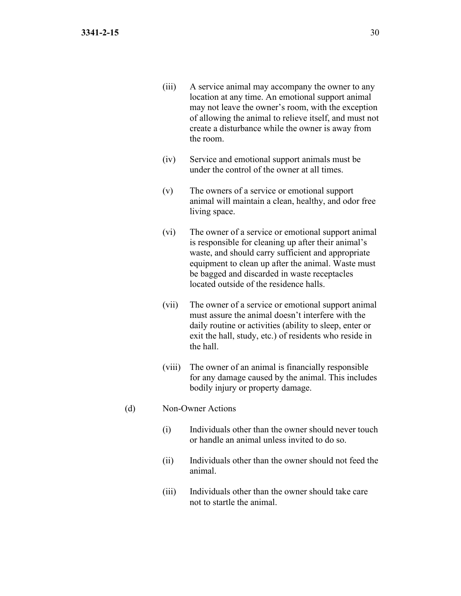- (iii) A service animal may accompany the owner to any location at any time. An emotional support animal may not leave the owner's room, with the exception of allowing the animal to relieve itself, and must not create a disturbance while the owner is away from the room.
- (iv) Service and emotional support animals must be under the control of the owner at all times.
- (v) The owners of a service or emotional support animal will maintain a clean, healthy, and odor free living space.
- (vi) The owner of a service or emotional support animal is responsible for cleaning up after their animal's waste, and should carry sufficient and appropriate equipment to clean up after the animal. Waste must be bagged and discarded in waste receptacles located outside of the residence halls.
- (vii) The owner of a service or emotional support animal must assure the animal doesn't interfere with the daily routine or activities (ability to sleep, enter or exit the hall, study, etc.) of residents who reside in the hall.
- (viii) The owner of an animal is financially responsible for any damage caused by the animal. This includes bodily injury or property damage.
- (d) Non-Owner Actions
	- (i) Individuals other than the owner should never touch or handle an animal unless invited to do so.
	- (ii) Individuals other than the owner should not feed the animal.
	- (iii) Individuals other than the owner should take care not to startle the animal.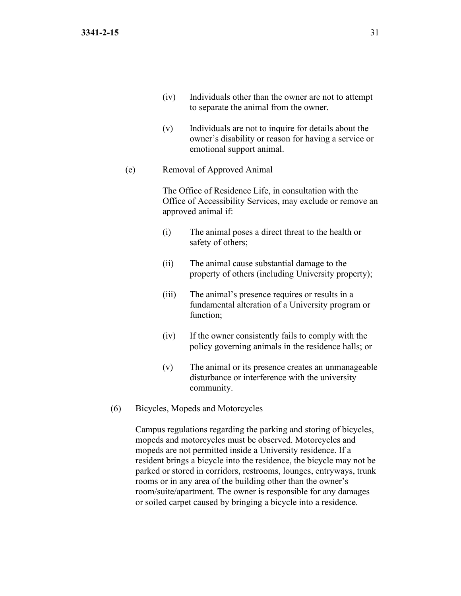- (iv) Individuals other than the owner are not to attempt to separate the animal from the owner.
- (v) Individuals are not to inquire for details about the owner's disability or reason for having a service or emotional support animal.

## (e) Removal of Approved Animal

The Office of Residence Life, in consultation with the Office of Accessibility Services, may exclude or remove an approved animal if:

- (i) The animal poses a direct threat to the health or safety of others;
- (ii) The animal cause substantial damage to the property of others (including University property);
- (iii) The animal's presence requires or results in a fundamental alteration of a University program or function;
- (iv) If the owner consistently fails to comply with the policy governing animals in the residence halls; or
- (v) The animal or its presence creates an unmanageable disturbance or interference with the university community.
- (6) Bicycles, Mopeds and Motorcycles

Campus regulations regarding the parking and storing of bicycles, mopeds and motorcycles must be observed. Motorcycles and mopeds are not permitted inside a University residence. If a resident brings a bicycle into the residence, the bicycle may not be parked or stored in corridors, restrooms, lounges, entryways, trunk rooms or in any area of the building other than the owner's room/suite/apartment. The owner is responsible for any damages or soiled carpet caused by bringing a bicycle into a residence.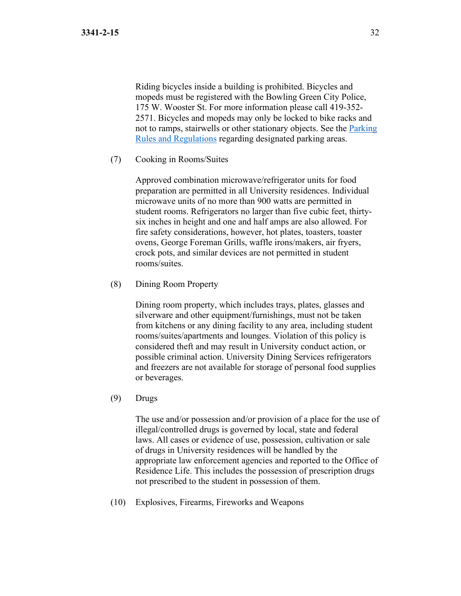Riding bicycles inside a building is prohibited. Bicycles and mopeds must be registered with the Bowling Green City Police, 175 W. Wooster St. For more information please call 419-352- 2571. Bicycles and mopeds may only be locked to bike racks and not to ramps, stairwells or other stationary objects. See the [Parking](https://www.bgsu.edu/parking-services/parking-regulations.html#parking-regulations)  [Rules and Regulations](https://www.bgsu.edu/parking-services/parking-regulations.html#parking-regulations) regarding designated parking areas.

(7) Cooking in Rooms/Suites

Approved combination microwave/refrigerator units for food preparation are permitted in all University residences. Individual microwave units of no more than 900 watts are permitted in student rooms. Refrigerators no larger than five cubic feet, thirtysix inches in height and one and half amps are also allowed. For fire safety considerations, however, hot plates, toasters, toaster ovens, George Foreman Grills, waffle irons/makers, air fryers, crock pots, and similar devices are not permitted in student rooms/suites.

(8) Dining Room Property

Dining room property, which includes trays, plates, glasses and silverware and other equipment/furnishings, must not be taken from kitchens or any dining facility to any area, including student rooms/suites/apartments and lounges. Violation of this policy is considered theft and may result in University conduct action, or possible criminal action. University Dining Services refrigerators and freezers are not available for storage of personal food supplies or beverages.

(9) Drugs

The use and/or possession and/or provision of a place for the use of illegal/controlled drugs is governed by local, state and federal laws. All cases or evidence of use, possession, cultivation or sale of drugs in University residences will be handled by the appropriate law enforcement agencies and reported to the Office of Residence Life. This includes the possession of prescription drugs not prescribed to the student in possession of them.

(10) Explosives, Firearms, Fireworks and Weapons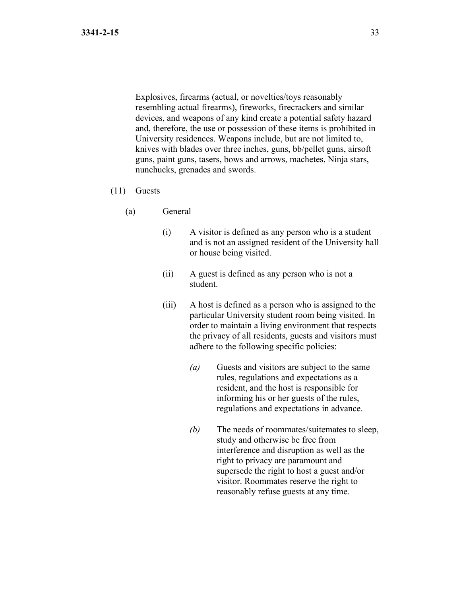Explosives, firearms (actual, or novelties/toys reasonably resembling actual firearms), fireworks, firecrackers and similar devices, and weapons of any kind create a potential safety hazard and, therefore, the use or possession of these items is prohibited in University residences. Weapons include, but are not limited to, knives with blades over three inches, guns, bb/pellet guns, airsoft guns, paint guns, tasers, bows and arrows, machetes, Ninja stars, nunchucks, grenades and swords.

- (11) Guests
	- (a) General
		- (i) A visitor is defined as any person who is a student and is not an assigned resident of the University hall or house being visited.
		- (ii) A guest is defined as any person who is not a student.
		- (iii) A host is defined as a person who is assigned to the particular University student room being visited. In order to maintain a living environment that respects the privacy of all residents, guests and visitors must adhere to the following specific policies:
			- *(a)* Guests and visitors are subject to the same rules, regulations and expectations as a resident, and the host is responsible for informing his or her guests of the rules, regulations and expectations in advance.
			- *(b)* The needs of roommates/suitemates to sleep, study and otherwise be free from interference and disruption as well as the right to privacy are paramount and supersede the right to host a guest and/or visitor. Roommates reserve the right to reasonably refuse guests at any time.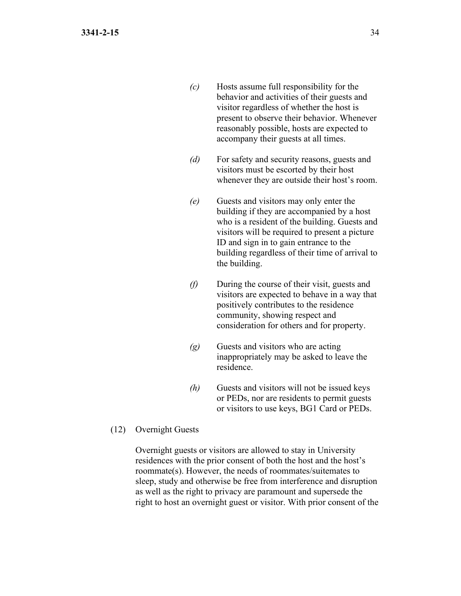- *(c)* Hosts assume full responsibility for the behavior and activities of their guests and visitor regardless of whether the host is present to observe their behavior. Whenever reasonably possible, hosts are expected to accompany their guests at all times.
- *(d)* For safety and security reasons, guests and visitors must be escorted by their host whenever they are outside their host's room.
- *(e)* Guests and visitors may only enter the building if they are accompanied by a host who is a resident of the building. Guests and visitors will be required to present a picture ID and sign in to gain entrance to the building regardless of their time of arrival to the building.
- *(f)* During the course of their visit, guests and visitors are expected to behave in a way that positively contributes to the residence community, showing respect and consideration for others and for property.
- *(g)* Guests and visitors who are acting inappropriately may be asked to leave the residence.
- *(h)* Guests and visitors will not be issued keys or PEDs, nor are residents to permit guests or visitors to use keys, BG1 Card or PEDs.
- (12) Overnight Guests

Overnight guests or visitors are allowed to stay in University residences with the prior consent of both the host and the host's roommate(s). However, the needs of roommates/suitemates to sleep, study and otherwise be free from interference and disruption as well as the right to privacy are paramount and supersede the right to host an overnight guest or visitor. With prior consent of the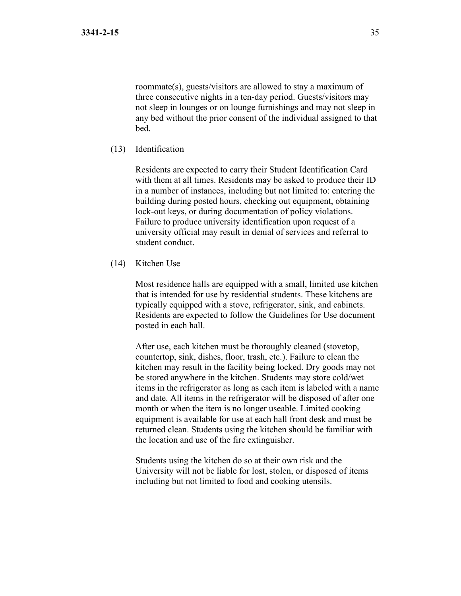roommate(s), guests/visitors are allowed to stay a maximum of three consecutive nights in a ten-day period. Guests/visitors may not sleep in lounges or on lounge furnishings and may not sleep in any bed without the prior consent of the individual assigned to that bed.

(13) Identification

Residents are expected to carry their Student Identification Card with them at all times. Residents may be asked to produce their ID in a number of instances, including but not limited to: entering the building during posted hours, checking out equipment, obtaining lock-out keys, or during documentation of policy violations. Failure to produce university identification upon request of a university official may result in denial of services and referral to student conduct.

(14) Kitchen Use

Most residence halls are equipped with a small, limited use kitchen that is intended for use by residential students. These kitchens are typically equipped with a stove, refrigerator, sink, and cabinets. Residents are expected to follow the Guidelines for Use document posted in each hall.

After use, each kitchen must be thoroughly cleaned (stovetop, countertop, sink, dishes, floor, trash, etc.). Failure to clean the kitchen may result in the facility being locked. Dry goods may not be stored anywhere in the kitchen. Students may store cold/wet items in the refrigerator as long as each item is labeled with a name and date. All items in the refrigerator will be disposed of after one month or when the item is no longer useable. Limited cooking equipment is available for use at each hall front desk and must be returned clean. Students using the kitchen should be familiar with the location and use of the fire extinguisher.

Students using the kitchen do so at their own risk and the University will not be liable for lost, stolen, or disposed of items including but not limited to food and cooking utensils.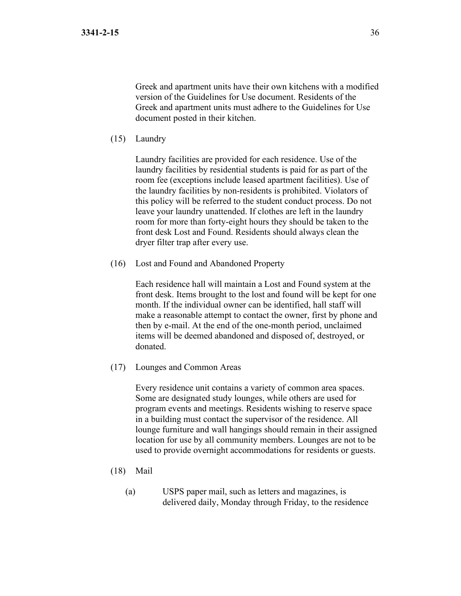Greek and apartment units have their own kitchens with a modified version of the Guidelines for Use document. Residents of the Greek and apartment units must adhere to the Guidelines for Use document posted in their kitchen.

(15) Laundry

Laundry facilities are provided for each residence. Use of the laundry facilities by residential students is paid for as part of the room fee (exceptions include leased apartment facilities). Use of the laundry facilities by non-residents is prohibited. Violators of this policy will be referred to the student conduct process. Do not leave your laundry unattended. If clothes are left in the laundry room for more than forty-eight hours they should be taken to the front desk Lost and Found. Residents should always clean the dryer filter trap after every use.

(16) Lost and Found and Abandoned Property

Each residence hall will maintain a Lost and Found system at the front desk. Items brought to the lost and found will be kept for one month. If the individual owner can be identified, hall staff will make a reasonable attempt to contact the owner, first by phone and then by e-mail. At the end of the one-month period, unclaimed items will be deemed abandoned and disposed of, destroyed, or donated.

(17) Lounges and Common Areas

Every residence unit contains a variety of common area spaces. Some are designated study lounges, while others are used for program events and meetings. Residents wishing to reserve space in a building must contact the supervisor of the residence. All lounge furniture and wall hangings should remain in their assigned location for use by all community members. Lounges are not to be used to provide overnight accommodations for residents or guests.

- (18) Mail
	- (a) USPS paper mail, such as letters and magazines, is delivered daily, Monday through Friday, to the residence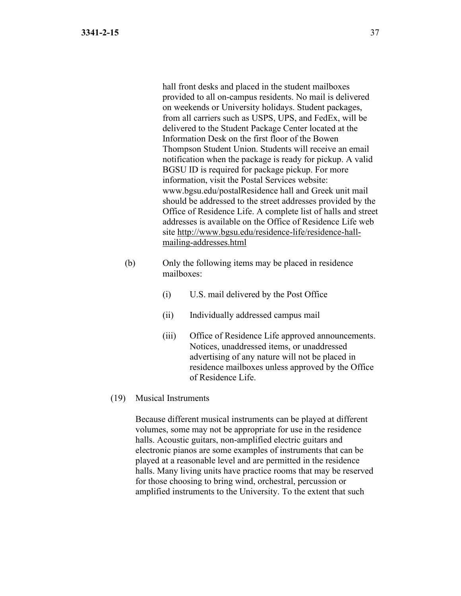hall front desks and placed in the student mailboxes provided to all on-campus residents. No mail is delivered on weekends or University holidays. Student packages, from all carriers such as USPS, UPS, and FedEx, will be delivered to the Student Package Center located at the Information Desk on the first floor of the Bowen Thompson Student Union. Students will receive an email notification when the package is ready for pickup. A valid BGSU ID is required for package pickup. For more information, visit the Postal Services website: www.bgsu.edu/postalResidence hall and Greek unit mail should be addressed to the street addresses provided by the Office of Residence Life. A complete list of halls and street addresses is available on the Office of Residence Life web site [http://www.bgsu.edu/residence-life/residence-hall](http://www.bgsu.edu/residence-life/residence-hall-mailing-addresses.html)[mailing-addresses.html](http://www.bgsu.edu/residence-life/residence-hall-mailing-addresses.html) 

- (b) Only the following items may be placed in residence mailboxes:
	- (i) U.S. mail delivered by the Post Office
	- (ii) Individually addressed campus mail
	- (iii) Office of Residence Life approved announcements. Notices, unaddressed items, or unaddressed advertising of any nature will not be placed in residence mailboxes unless approved by the Office of Residence Life.
- (19) Musical Instruments

Because different musical instruments can be played at different volumes, some may not be appropriate for use in the residence halls. Acoustic guitars, non-amplified electric guitars and electronic pianos are some examples of instruments that can be played at a reasonable level and are permitted in the residence halls. Many living units have practice rooms that may be reserved for those choosing to bring wind, orchestral, percussion or amplified instruments to the University. To the extent that such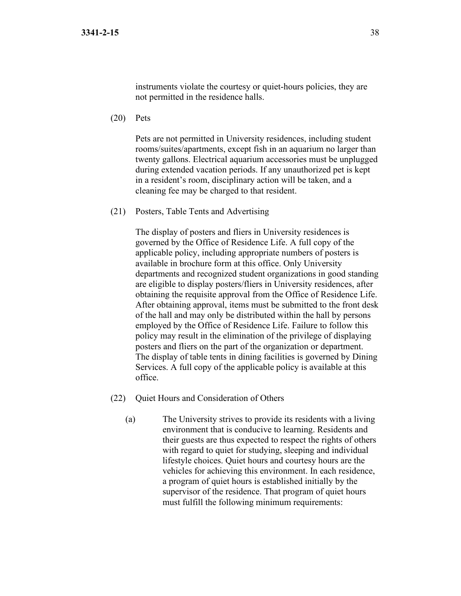(20) Pets

Pets are not permitted in University residences, including student rooms/suites/apartments, except fish in an aquarium no larger than twenty gallons. Electrical aquarium accessories must be unplugged during extended vacation periods. If any unauthorized pet is kept in a resident's room, disciplinary action will be taken, and a cleaning fee may be charged to that resident.

(21) Posters, Table Tents and Advertising

The display of posters and fliers in University residences is governed by the Office of Residence Life. A full copy of the applicable policy, including appropriate numbers of posters is available in brochure form at this office. Only University departments and recognized student organizations in good standing are eligible to display posters/fliers in University residences, after obtaining the requisite approval from the Office of Residence Life. After obtaining approval, items must be submitted to the front desk of the hall and may only be distributed within the hall by persons employed by the Office of Residence Life. Failure to follow this policy may result in the elimination of the privilege of displaying posters and fliers on the part of the organization or department. The display of table tents in dining facilities is governed by Dining Services. A full copy of the applicable policy is available at this office.

- (22) Quiet Hours and Consideration of Others
	- (a) The University strives to provide its residents with a living environment that is conducive to learning. Residents and their guests are thus expected to respect the rights of others with regard to quiet for studying, sleeping and individual lifestyle choices. Quiet hours and courtesy hours are the vehicles for achieving this environment. In each residence, a program of quiet hours is established initially by the supervisor of the residence. That program of quiet hours must fulfill the following minimum requirements: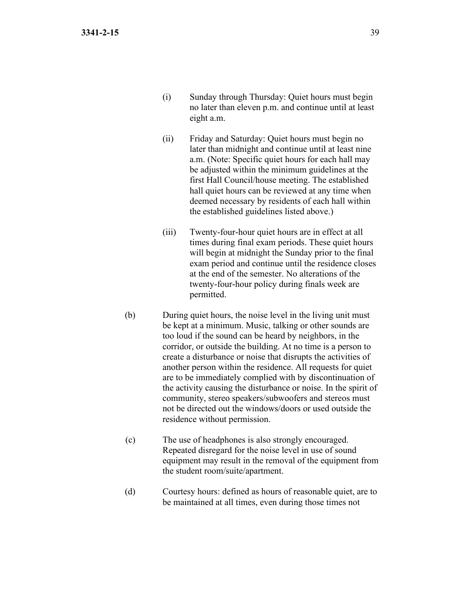- (i) Sunday through Thursday: Quiet hours must begin no later than eleven p.m. and continue until at least eight a.m.
- (ii) Friday and Saturday: Quiet hours must begin no later than midnight and continue until at least nine a.m. (Note: Specific quiet hours for each hall may be adjusted within the minimum guidelines at the first Hall Council/house meeting. The established hall quiet hours can be reviewed at any time when deemed necessary by residents of each hall within the established guidelines listed above.)
- (iii) Twenty-four-hour quiet hours are in effect at all times during final exam periods. These quiet hours will begin at midnight the Sunday prior to the final exam period and continue until the residence closes at the end of the semester. No alterations of the twenty-four-hour policy during finals week are permitted.
- (b) During quiet hours, the noise level in the living unit must be kept at a minimum. Music, talking or other sounds are too loud if the sound can be heard by neighbors, in the corridor, or outside the building. At no time is a person to create a disturbance or noise that disrupts the activities of another person within the residence. All requests for quiet are to be immediately complied with by discontinuation of the activity causing the disturbance or noise. In the spirit of community, stereo speakers/subwoofers and stereos must not be directed out the windows/doors or used outside the residence without permission.
- (c) The use of headphones is also strongly encouraged. Repeated disregard for the noise level in use of sound equipment may result in the removal of the equipment from the student room/suite/apartment.
- (d) Courtesy hours: defined as hours of reasonable quiet, are to be maintained at all times, even during those times not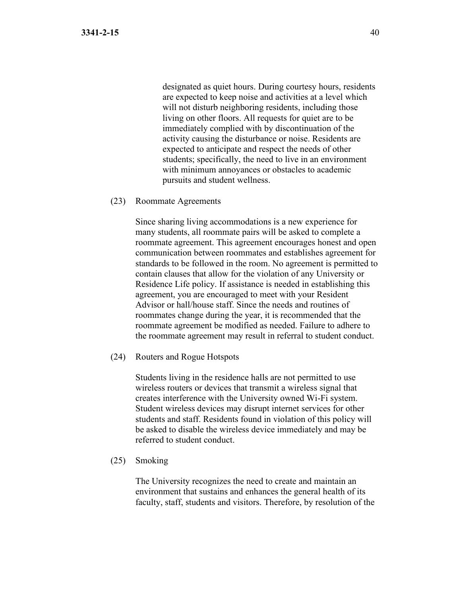designated as quiet hours. During courtesy hours, residents are expected to keep noise and activities at a level which will not disturb neighboring residents, including those living on other floors. All requests for quiet are to be immediately complied with by discontinuation of the activity causing the disturbance or noise. Residents are expected to anticipate and respect the needs of other students; specifically, the need to live in an environment with minimum annoyances or obstacles to academic pursuits and student wellness.

(23) Roommate Agreements

Since sharing living accommodations is a new experience for many students, all roommate pairs will be asked to complete a roommate agreement. This agreement encourages honest and open communication between roommates and establishes agreement for standards to be followed in the room. No agreement is permitted to contain clauses that allow for the violation of any University or Residence Life policy. If assistance is needed in establishing this agreement, you are encouraged to meet with your Resident Advisor or hall/house staff. Since the needs and routines of roommates change during the year, it is recommended that the roommate agreement be modified as needed. Failure to adhere to the roommate agreement may result in referral to student conduct.

(24) Routers and Rogue Hotspots

Students living in the residence halls are not permitted to use wireless routers or devices that transmit a wireless signal that creates interference with the University owned Wi-Fi system. Student wireless devices may disrupt internet services for other students and staff. Residents found in violation of this policy will be asked to disable the wireless device immediately and may be referred to student conduct.

(25) Smoking

The University recognizes the need to create and maintain an environment that sustains and enhances the general health of its faculty, staff, students and visitors. Therefore, by resolution of the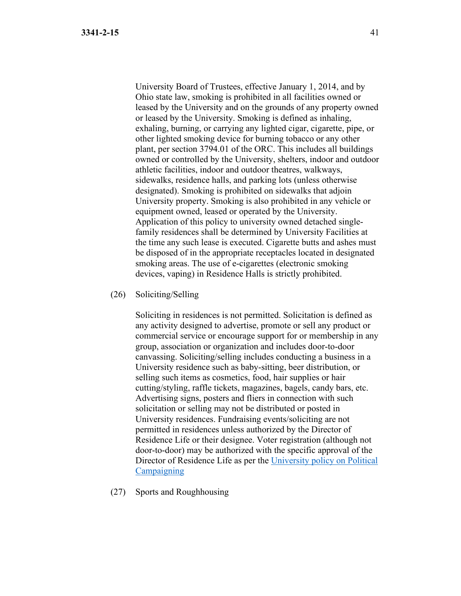University Board of Trustees, effective January 1, 2014, and by Ohio state law, smoking is prohibited in all facilities owned or leased by the University and on the grounds of any property owned or leased by the University. Smoking is defined as inhaling, exhaling, burning, or carrying any lighted cigar, cigarette, pipe, or other lighted smoking device for burning tobacco or any other plant, per section 3794.01 of the ORC. This includes all buildings owned or controlled by the University, shelters, indoor and outdoor athletic facilities, indoor and outdoor theatres, walkways, sidewalks, residence halls, and parking lots (unless otherwise designated). Smoking is prohibited on sidewalks that adjoin University property. Smoking is also prohibited in any vehicle or equipment owned, leased or operated by the University. Application of this policy to university owned detached singlefamily residences shall be determined by University Facilities at the time any such lease is executed. Cigarette butts and ashes must be disposed of in the appropriate receptacles located in designated smoking areas. The use of e-cigarettes (electronic smoking devices, vaping) in Residence Halls is strictly prohibited.

(26) Soliciting/Selling

Soliciting in residences is not permitted. Solicitation is defined as any activity designed to advertise, promote or sell any product or commercial service or encourage support for or membership in any group, association or organization and includes door-to-door canvassing. Soliciting/selling includes conducting a business in a University residence such as baby-sitting, beer distribution, or selling such items as cosmetics, food, hair supplies or hair cutting/styling, raffle tickets, magazines, bagels, candy bars, etc. Advertising signs, posters and fliers in connection with such solicitation or selling may not be distributed or posted in University residences. Fundraising events/soliciting are not permitted in residences unless authorized by the Director of Residence Life or their designee. Voter registration (although not door-to-door) may be authorized with the specific approval of the Director of Residence Life as per the [University policy on Political](https://www.bgsu.edu/content/dam/BGSU/general-counsel/documents/Political-Campaigning.pdf)  **[Campaigning](https://www.bgsu.edu/content/dam/BGSU/general-counsel/documents/Political-Campaigning.pdf)** 

(27) Sports and Roughhousing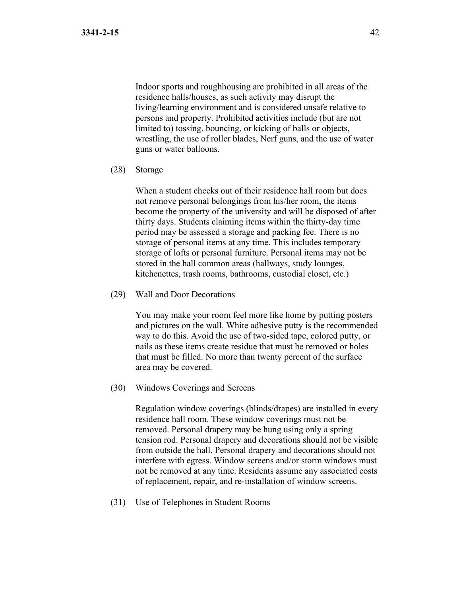Indoor sports and roughhousing are prohibited in all areas of the residence halls/houses, as such activity may disrupt the living/learning environment and is considered unsafe relative to persons and property. Prohibited activities include (but are not limited to) tossing, bouncing, or kicking of balls or objects, wrestling, the use of roller blades, Nerf guns, and the use of water guns or water balloons.

(28) Storage

When a student checks out of their residence hall room but does not remove personal belongings from his/her room, the items become the property of the university and will be disposed of after thirty days. Students claiming items within the thirty-day time period may be assessed a storage and packing fee. There is no storage of personal items at any time. This includes temporary storage of lofts or personal furniture. Personal items may not be stored in the hall common areas (hallways, study lounges, kitchenettes, trash rooms, bathrooms, custodial closet, etc.)

(29) Wall and Door Decorations

You may make your room feel more like home by putting posters and pictures on the wall. White adhesive putty is the recommended way to do this. Avoid the use of two-sided tape, colored putty, or nails as these items create residue that must be removed or holes that must be filled. No more than twenty percent of the surface area may be covered.

(30) Windows Coverings and Screens

Regulation window coverings (blinds/drapes) are installed in every residence hall room. These window coverings must not be removed. Personal drapery may be hung using only a spring tension rod. Personal drapery and decorations should not be visible from outside the hall. Personal drapery and decorations should not interfere with egress. Window screens and/or storm windows must not be removed at any time. Residents assume any associated costs of replacement, repair, and re-installation of window screens.

(31) Use of Telephones in Student Rooms